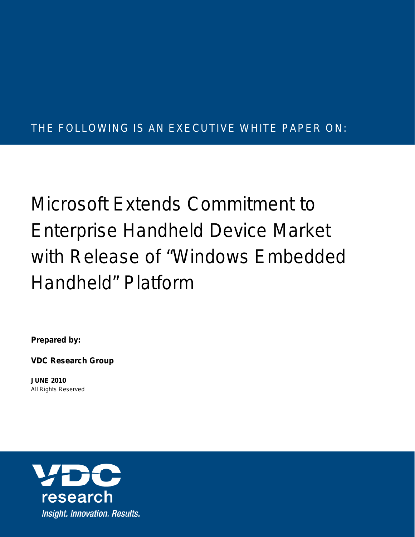# THE FOLLOWING IS AN EXECUTIVE WHITE PAPER ON:

# Microsoft Extends Commitment to Enterprise Handheld Device Market with Release of "Windows Embedded Handheld" Platform

**Prepared by:**

**VDC Research Group**

**JUNE 2010** *All Rights Reserved*

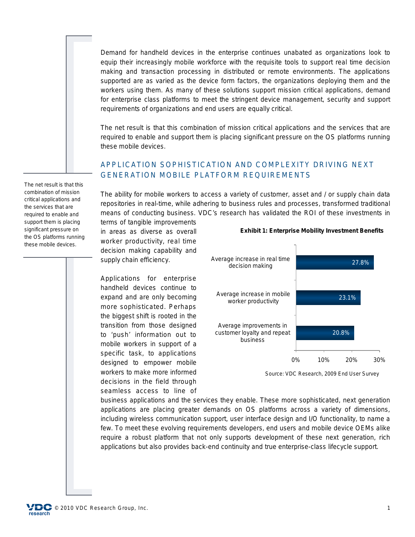Demand for handheld devices in the enterprise continues unabated as organizations look to equip their increasingly mobile workforce with the requisite tools to support real time decision making and transaction processing in distributed or remote environments. The applications supported are as varied as the device form factors, the organizations deploying them and the workers using them. As many of these solutions support mission critical applications, demand for enterprise class platforms to meet the stringent device management, security and support requirements of organizations and end users are equally critical.

The net result is that this combination of mission critical applications and the services that are required to enable and support them is placing significant pressure on the OS platforms running these mobile devices.

# APPLICATION SOPHISTICATION AND COMPLEXITY DRIVING NEXT GENERATION MOBILE PLATFORM REQUIREMENTS

The ability for mobile workers to access a variety of customer, asset and / or supply chain data repositories in real-time, while adhering to business rules and processes, transformed traditional means of conducting business. VDC's research has validated the ROI of these investments in

terms of tangible improvements in areas as diverse as overall worker productivity, real time decision making capability and supply chain efficiency.

Applications for enterprise handheld devices continue to expand and are only becoming more sophisticated. Perhaps the biggest shift is rooted in the transition from those designed to 'push' information out to mobile workers in support of a specific task, to applications designed to empower mobile workers to make more informed decisions in the field through seamless access to line of



**Exhibit 1: Enterprise Mobility Investment Benefits**

*Source: VDC Research, 2009 End User Survey*

business applications and the services they enable. These more sophisticated, next generation applications are placing greater demands on OS platforms across a variety of dimensions, including wireless communication support, user interface design and I/O functionality, to name a few. To meet these evolving requirements developers, end users and mobile device OEMs alike require a robust platform that not only supports development of these next generation, rich applications but also provides back-end continuity and true enterprise-class lifecycle support.

The net result is that this combination of mission critical applications and the services that are required to enable and support them is placing significant pressure on the OS platforms running these mobile devices.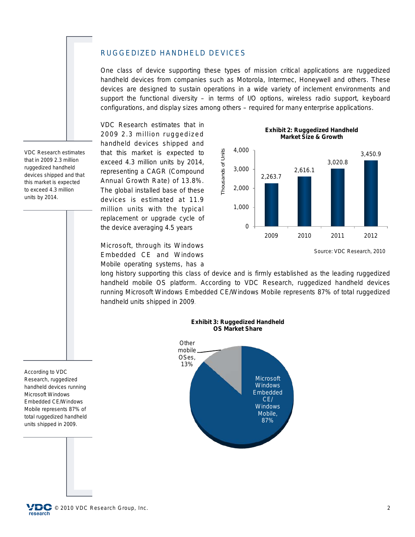#### RUGGEDIZED HANDHELD DEVICES

One class of device supporting these types of mission critical applications are ruggedized handheld devices from companies such as Motorola, Intermec, Honeywell and others. These devices are designed to sustain operations in a wide variety of inclement environments and support the functional diversity – in terms of I/O options, wireless radio support, keyboard configurations, and display sizes among others – required for many enterprise applications.

VDC Research estimates that in 2009 2.3 million ruggedized handheld devices shipped and that this market is expected to exceed 4.3 million units by 2014, representing a CAGR (Compound Annual Growth Rate) of 13.8%. The global installed base of these devices is estimated at 11.9 million units with the typical replacement or upgrade cycle of the device averaging 4.5 years

Microsoft, through its Windows Embedded CE and Windows Mobile operating systems, has a

**Exhibit 2: Ruggedized Handheld Market Size & Growth**



*Source: VDC Research, 2010*

long history supporting this class of device and is firmly established as the leading ruggedized handheld mobile OS platform. According to VDC Research, ruggedized handheld devices running Microsoft Windows Embedded CE/Windows Mobile represents 87% of total ruggedized handheld units shipped in 2009.



VDC Research estimates that in 2009 2.3 million ruggedized handheld devices shipped and that this market is expected to exceed 4.3 million units by 2014.

According to VDC Research, ruggedized handheld devices running Microsoft Windows Embedded CE/Windows Mobile represents 87% of total ruggedized handheld units shipped in 2009.

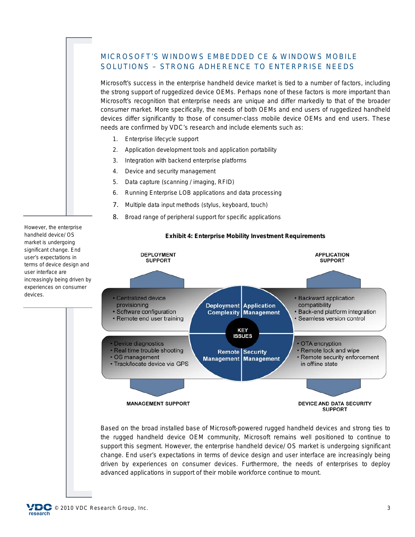## MICROSOFT'S WINDOWS EMBEDDED CE & WINDOWS MOBILE SOLUTIONS – STRONG ADHERENCE TO ENTERPRISE NEEDS

Microsoft's success in the enterprise handheld device market is tied to a number of factors, including the strong support of ruggedized device OEMs. Perhaps none of these factors is more important than Microsoft's recognition that enterprise needs are unique and differ markedly to that of the broader consumer market. More specifically, the needs of both OEMs and end users of ruggedized handheld devices differ significantly to those of consumer-class mobile device OEMs and end users. These needs are confirmed by VDC's research and include elements such as:

- 1. Enterprise lifecycle support
- 2. Application development tools and application portability
- 3. Integration with backend enterprise platforms
- 4. Device and security management
- 5. Data capture (scanning / imaging, RFID)
- 6. Running Enterprise LOB applications and data processing
- 7. Multiple data input methods (stylus, keyboard, touch)
- 8. Broad range of peripheral support for specific applications



**Exhibit 4: Enterprise Mobility Investment Requirements**

Based on the broad installed base of Microsoft-powered rugged handheld devices and strong ties to the rugged handheld device OEM community, Microsoft remains well positioned to continue to support this segment. However, the enterprise handheld device/ OS market is undergoing significant change. End user's expectations in terms of device design and user interface are increasingly being driven by experiences on consumer devices. Furthermore, the needs of enterprises to deploy advanced applications in support of their mobile workforce continue to mount.

However, the enterprise handheld device/ OS market is undergoing significant change. End user's expectations in terms of device design and user interface are increasingly being driven by experiences on consumer devices.

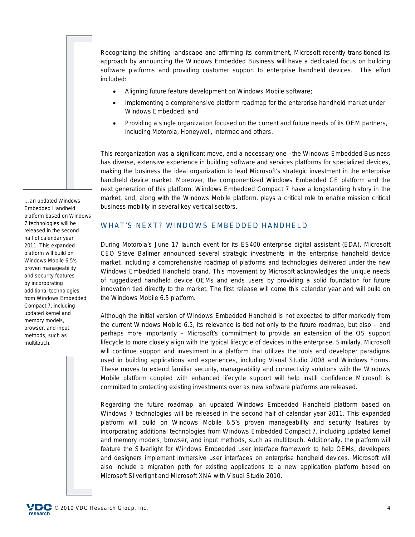Recognizing the shifting landscape and affirming its commitment, Microsoft recently transitioned its approach by announcing the Windows Embedded Business will have a dedicated focus on building software platforms and providing customer support to enterprise handheld devices. This effort included:

- Aligning future feature development on Windows Mobile software;
- Implementing a comprehensive platform roadmap for the enterprise handheld market under Windows Embedded; and
- Providing a single organization focused on the current and future needs of its OEM partners, including Motorola, Honeywell, Intermec and others.

This reorganization was a significant move, and a necessary one –the Windows Embedded Business has diverse, extensive experience in building software and services platforms for specialized devices, making the business the ideal organization to lead Microsoft's strategic investment in the enterprise handheld device market. Moreover, the componentized Windows Embedded CE platform and the next generation of this platform, Windows Embedded Compact 7 have a longstanding history in the market, and, along with the Windows Mobile platform, plays a critical role to enable mission critical business mobility in several key vertical sectors.

…an updated Windows Embedded Handheld platform based on Windows 7 technologies will be released in the second half of calendar year 2011. This expanded platform will build on Windows Mobile 6.5's proven manageability and security features by incorporating additional technologies from Windows Embedded Compact 7, including updated kernel and memory models, browser, and input methods, such as multitouch.

#### WHAT'S NEXT? WINDOWS EMBEDDED HANDHELD

During Motorola's June 17 launch event for its ES400 enterprise digital assistant (EDA), Microsoft CEO Steve Ballmer announced several strategic investments in the enterprise handheld device market, including a comprehensive roadmap of platforms and technologies delivered under the new *Windows Embedded Handheld* brand. This movement by Microsoft acknowledges the unique needs of ruggedized handheld device OEMs and ends users by providing a solid foundation for future innovation tied directly to the market. The first release will come this calendar year and will build on the Windows Mobile 6.5 platform.

Although the initial version of Windows Embedded Handheld is not expected to differ markedly from the current Windows Mobile 6.5, its relevance is tied not only to the future roadmap, but also – and perhaps more importantly – Microsoft's commitment to provide an extension of the OS support lifecycle to more closely align with the typical lifecycle of devices in the enterprise. Similarly, Microsoft will continue support and investment in a platform that utilizes the tools and developer paradigms used in building applications and experiences, including Visual Studio 2008 and Windows Forms. These moves to extend familiar security, manageability and connectivity solutions with the Windows Mobile platform coupled with enhanced lifecycle support will help instill confidence Microsoft is committed to protecting existing investments over as new software platforms are released.

Regarding the future roadmap, an updated Windows Embedded Handheld platform based on Windows 7 technologies will be released in the second half of calendar year 2011. This expanded platform will build on Windows Mobile 6.5's proven manageability and security features by incorporating additional technologies from Windows Embedded Compact 7, including updated kernel and memory models, browser, and input methods, such as multitouch. Additionally, the platform will feature the Silverlight for Windows Embedded user interface framework to help OEMs, developers and designers implement immersive user interfaces on enterprise handheld devices. Microsoft will also include a migration path for existing applications to a new application platform based on Microsoft Silverlight and Microsoft XNA with Visual Studio 2010.